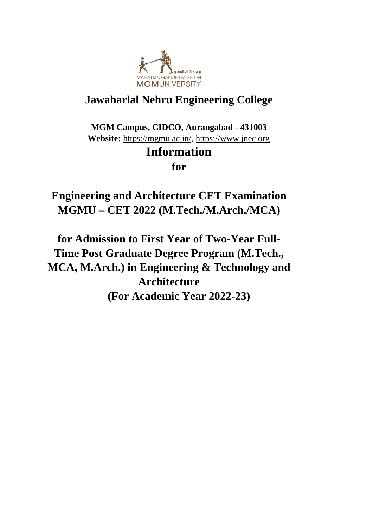

# **Jawaharlal Nehru Engineering College**

**MGM Campus, CIDCO, Aurangabad - 431003 Website:** [https://mgmu.ac.in/,](https://mgmu.ac.in/) [https://www.jnec.org](https://www.jnec.org/)

# **Information**

**for**

**Engineering and Architecture CET Examination MGMU – CET 2022 (M.Tech./M.Arch./MCA)**

**for Admission to First Year of Two-Year Full-Time Post Graduate Degree Program (M.Tech., MCA, M.Arch.) in Engineering & Technology and Architecture (For Academic Year 2022-23)**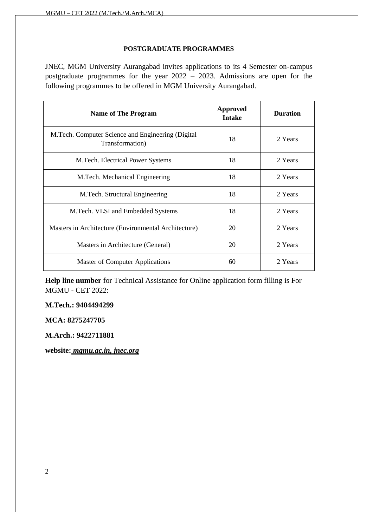#### **POSTGRADUATE PROGRAMMES**

JNEC, MGM University Aurangabad invites applications to its 4 Semester on-campus postgraduate programmes for the year 2022 – 2023. Admissions are open for the following programmes to be offered in MGM University Aurangabad.

| <b>Name of The Program</b>                                             | <b>Approved</b><br><b>Intake</b> | <b>Duration</b> |
|------------------------------------------------------------------------|----------------------------------|-----------------|
| M. Tech. Computer Science and Engineering (Digital)<br>Transformation) | 18                               | 2 Years         |
| M. Tech. Electrical Power Systems                                      | 18                               | 2 Years         |
| M.Tech. Mechanical Engineering                                         | 18                               | 2 Years         |
| M.Tech. Structural Engineering                                         | 18                               | 2 Years         |
| M. Tech. VLSI and Embedded Systems                                     | 18                               | 2 Years         |
| Masters in Architecture (Environmental Architecture)                   | 20                               | 2 Years         |
| Masters in Architecture (General)                                      | 20                               | 2 Years         |
| <b>Master of Computer Applications</b>                                 | 60                               | 2 Years         |

**Help line number** for Technical Assistance for Online application form filling is For MGMU - CET 2022:

**M.Tech.: 9404494299**

**MCA: 8275247705**

**M.Arch.: 9422711881**

**website:** *mgmu.ac.in, jnec.org*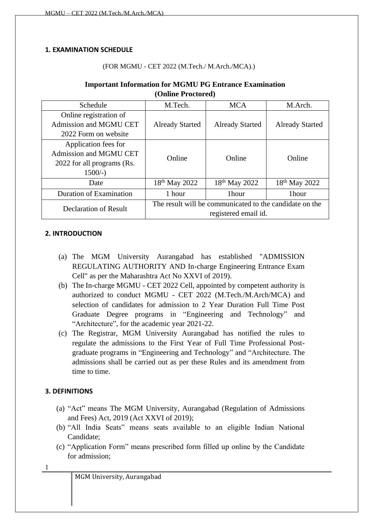#### <span id="page-3-0"></span>**1. EXAMINATION SCHEDULE**

#### (FOR MGMU - CET 2022 (M.Tech./ M.Arch./MCA).)

#### **Important Information for MGMU PG Entrance Examination (Online Proctored)**

| Schedule                   | M.Tech.                   | <b>MCA</b>                                              | M.Arch.                   |
|----------------------------|---------------------------|---------------------------------------------------------|---------------------------|
| Online registration of     |                           |                                                         |                           |
| Admission and MGMU CET     | <b>Already Started</b>    | <b>Already Started</b>                                  | <b>Already Started</b>    |
| 2022 Form on website       |                           |                                                         |                           |
| Application fees for       |                           |                                                         |                           |
| Admission and MGMU CET     | Online                    | Online                                                  | Online                    |
| 2022 for all programs (Rs. |                           |                                                         |                           |
| $1500/-$ )                 |                           |                                                         |                           |
| Date                       | 18 <sup>th</sup> May 2022 | 18 <sup>th</sup> May 2022                               | 18 <sup>th</sup> May 2022 |
| Duration of Examination    | 1 hour                    | 1hour                                                   | 1hour                     |
| Declaration of Result      |                           | The result will be communicated to the candidate on the |                           |
|                            |                           | registered email id.                                    |                           |

#### <span id="page-3-1"></span>**2. INTRODUCTION**

- (a) The MGM University Aurangabad has established "ADMISSION REGULATING AUTHORITY AND In-charge Engineering Entrance Exam Cell" as per the Maharashtra Act No XXVI of 2019).
- (b) The In-charge MGMU CET 2022 Cell, appointed by competent authority is authorized to conduct MGMU - CET 2022 (M.Tech./M.Arch/MCA) and selection of candidates for admission to 2 Year Duration Full Time Post Graduate Degree programs in "Engineering and Technology" and "Architecture", for the academic year 2021-22.
- (c) The Registrar, MGM University Aurangabad has notified the rules to regulate the admissions to the First Year of Full Time Professional Postgraduate programs in "Engineering and Technology" and "Architecture. The admissions shall be carried out as per these Rules and its amendment from time to time.

### <span id="page-3-2"></span>**3. DEFINITIONS**

- (a) "Act" means The MGM University, Aurangabad (Regulation of Admissions and Fees) Act, 2019 (Act XXVI of 2019);
- (b) "All India Seats" means seats available to an eligible Indian National Candidate;
- (c) "Application Form" means prescribed form filled up online by the Candidate for admission;

1

MGM University, Aurangabad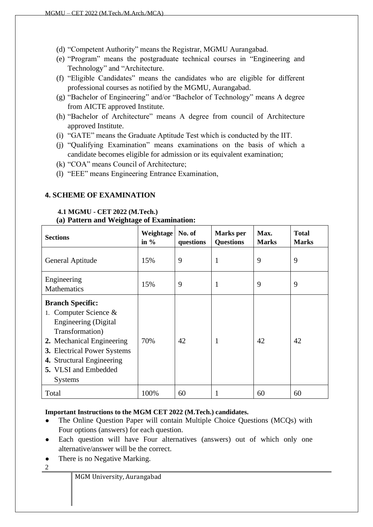- (d) "Competent Authority" means the Registrar, MGMU Aurangabad.
- (e) "Program" means the postgraduate technical courses in "Engineering and Technology" and "Architecture.
- (f) "Eligible Candidates" means the candidates who are eligible for different professional courses as notified by the MGMU, Aurangabad.
- (g) "Bachelor of Engineering" and/or "Bachelor of Technology" means A degree from AICTE approved Institute.
- (h) "Bachelor of Architecture" means A degree from council of Architecture approved Institute.
- (i) "GATE" means the Graduate Aptitude Test which is conducted by the IIT.
- (j) "Qualifying Examination" means examinations on the basis of which a candidate becomes eligible for admission or its equivalent examination;
- (k) "COA" means Council of Architecture;
- (l) "EEE" means Engineering Entrance Examination,

#### <span id="page-4-0"></span>**4. SCHEME OF EXAMINATION**

# <span id="page-4-1"></span>**4.1 MGMU - CET 2022 (M.Tech.)**

#### **(a) Pattern and Weightage of Examination:**

| <b>Sections</b>                                                                                                                                                                                                                                 | Weightage<br>in $\%$ | No. of<br>questions | <b>Marks</b> per<br><b>Questions</b> | Max.<br><b>Marks</b> | <b>Total</b><br><b>Marks</b> |
|-------------------------------------------------------------------------------------------------------------------------------------------------------------------------------------------------------------------------------------------------|----------------------|---------------------|--------------------------------------|----------------------|------------------------------|
| General Aptitude                                                                                                                                                                                                                                | 15%                  | 9                   | 1                                    | 9                    | 9                            |
| Engineering<br><b>Mathematics</b>                                                                                                                                                                                                               | 15%                  | 9                   | 1                                    | 9                    | 9                            |
| <b>Branch Specific:</b><br>1. Computer Science $\&$<br>Engineering (Digital<br>Transformation)<br>2. Mechanical Engineering<br><b>3.</b> Electrical Power Systems<br>4. Structural Engineering<br><b>5.</b> VLSI and Embedded<br><b>Systems</b> | 70%                  | 42                  | 1                                    | 42                   | 42                           |
| Total                                                                                                                                                                                                                                           | 100%                 | 60                  |                                      | 60                   | 60                           |

#### **Important Instructions to the MGM CET 2022 (M.Tech.) candidates.**

- The Online Question Paper will contain Multiple Choice Questions (MCQs) with Four options (answers) for each question.
- Each question will have Four alternatives (answers) out of which only one alternative/answer will be the correct.
- There is no Negative Marking.
- $\sqrt{2}$

MGM University, Aurangabad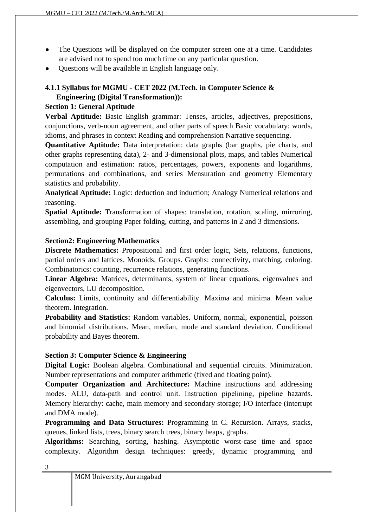- The Questions will be displayed on the computer screen one at a time. Candidates are advised not to spend too much time on any particular question.
- Questions will be available in English language only.

# **4.1.1 Syllabus for MGMU - CET 2022 (M.Tech. in Computer Science & Engineering (Digital Transformation)):**

# **Section 1: General Aptitude**

**Verbal Aptitude:** Basic English grammar: Tenses, articles, adjectives, prepositions, conjunctions, verb-noun agreement, and other parts of speech Basic vocabulary: words, idioms, and phrases in context Reading and comprehension Narrative sequencing.

**Quantitative Aptitude:** Data interpretation: data graphs (bar graphs, pie charts, and other graphs representing data), 2- and 3-dimensional plots, maps, and tables Numerical computation and estimation: ratios, percentages, powers, exponents and logarithms, permutations and combinations, and series Mensuration and geometry Elementary statistics and probability.

**Analytical Aptitude:** Logic: deduction and induction; Analogy Numerical relations and reasoning.

**Spatial Aptitude:** Transformation of shapes: translation, rotation, scaling, mirroring, assembling, and grouping Paper folding, cutting, and patterns in 2 and 3 dimensions.

### **Section2: Engineering Mathematics**

**Discrete Mathematics:** Propositional and first order logic, Sets, relations, functions, partial orders and lattices. Monoids, Groups. Graphs: connectivity, matching, coloring. Combinatorics: counting, recurrence relations, generating functions.

**Linear Algebra:** Matrices, determinants, system of linear equations, eigenvalues and eigenvectors, LU decomposition.

**Calculus:** Limits, continuity and differentiability. Maxima and minima. Mean value theorem. Integration.

**Probability and Statistics:** Random variables. Uniform, normal, exponential, poisson and binomial distributions. Mean, median, mode and standard deviation. Conditional probability and Bayes theorem.

### **Section 3: Computer Science & Engineering**

**Digital Logic:** Boolean algebra. Combinational and sequential circuits. Minimization. Number representations and computer arithmetic (fixed and floating point).

**Computer Organization and Architecture:** Machine instructions and addressing modes. ALU, data‐path and control unit. Instruction pipelining, pipeline hazards. Memory hierarchy: cache, main memory and secondary storage; I/O interface (interrupt and DMA mode).

**Programming and Data Structures:** Programming in C. Recursion. Arrays, stacks, queues, linked lists, trees, binary search trees, binary heaps, graphs.

**Algorithms:** Searching, sorting, hashing. Asymptotic worst-case time and space complexity. Algorithm design techniques: greedy, dynamic programming and

|  |  | MGM University, Aurangabad |
|--|--|----------------------------|
|--|--|----------------------------|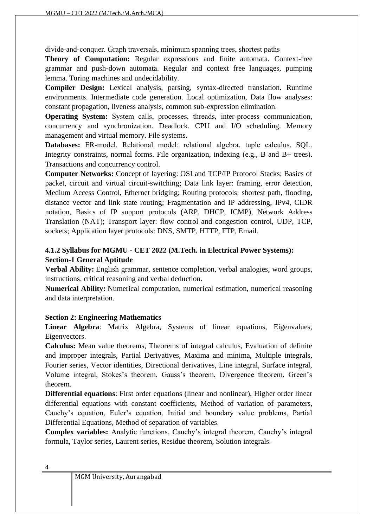divide‐and‐conquer. Graph traversals, minimum spanning trees, shortest paths

**Theory of Computation:** Regular expressions and finite automata. Context-free grammar and push-down automata. Regular and context free languages, pumping lemma. Turing machines and undecidability.

**Compiler Design:** Lexical analysis, parsing, syntax-directed translation. Runtime environments. Intermediate code generation. Local optimization, Data flow analyses: constant propagation, liveness analysis, common sub-expression elimination.

**Operating System:** System calls, processes, threads, inter-process communication, concurrency and synchronization. Deadlock. CPU and I/O scheduling. Memory management and virtual memory. File systems.

**Databases:** ER‐model. Relational model: relational algebra, tuple calculus, SQL. Integrity constraints, normal forms. File organization, indexing (e.g., B and B+ trees). Transactions and concurrency control.

**Computer Networks:** Concept of layering: OSI and TCP/IP Protocol Stacks; Basics of packet, circuit and virtual circuit-switching; Data link layer: framing, error detection, Medium Access Control, Ethernet bridging; Routing protocols: shortest path, flooding, distance vector and link state routing; Fragmentation and IP addressing, IPv4, CIDR notation, Basics of IP support protocols (ARP, DHCP, ICMP), Network Address Translation (NAT); Transport layer: flow control and congestion control, UDP, TCP, sockets; Application layer protocols: DNS, SMTP, HTTP, FTP, Email.

# **4.1.2 Syllabus for MGMU - CET 2022 (M.Tech. in Electrical Power Systems): Section-1 General Aptitude**

**Verbal Ability:** English grammar, sentence completion, verbal analogies, word groups, instructions, critical reasoning and verbal deduction.

**Numerical Ability:** Numerical computation, numerical estimation, numerical reasoning and data interpretation.

### **Section 2: Engineering Mathematics**

**Linear Algebra**: Matrix Algebra, Systems of linear equations, Eigenvalues, Eigenvectors.

**Calculus:** Mean value theorems, Theorems of integral calculus, Evaluation of definite and improper integrals, Partial Derivatives, Maxima and minima, Multiple integrals, Fourier series, Vector identities, Directional derivatives, Line integral, Surface integral, Volume integral, Stokes's theorem, Gauss's theorem, Divergence theorem, Green's theorem.

**Differential equations**: First order equations (linear and nonlinear), Higher order linear differential equations with constant coefficients, Method of variation of parameters, Cauchy's equation, Euler's equation, Initial and boundary value problems, Partial Differential Equations, Method of separation of variables.

**Complex variables:** Analytic functions, Cauchy's integral theorem, Cauchy's integral formula, Taylor series, Laurent series, Residue theorem, Solution integrals.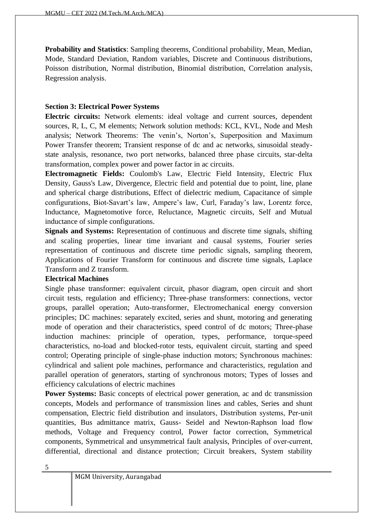**Probability and Statistics**: Sampling theorems, Conditional probability, Mean, Median, Mode, Standard Deviation, Random variables, Discrete and Continuous distributions, Poisson distribution, Normal distribution, Binomial distribution, Correlation analysis, Regression analysis.

#### **Section 3: Electrical Power Systems**

**Electric circuits:** Network elements: ideal voltage and current sources, dependent sources, R, L, C, M elements; Network solution methods: KCL, KVL, Node and Mesh analysis; Network Theorems: The venin's, Norton's, Superposition and Maximum Power Transfer theorem; Transient response of dc and ac networks, sinusoidal steadystate analysis, resonance, two port networks, balanced three phase circuits, star-delta transformation, complex power and power factor in ac circuits.

**Electromagnetic Fields:** Coulomb's Law, Electric Field Intensity, Electric Flux Density, Gauss's Law, Divergence, Electric field and potential due to point, line, plane and spherical charge distributions, Effect of dielectric medium, Capacitance of simple configurations, Biot‐Savart's law, Ampere's law, Curl, Faraday's law, Lorentz force, Inductance, Magnetomotive force, Reluctance, Magnetic circuits, Self and Mutual inductance of simple configurations.

**Signals and Systems:** Representation of continuous and discrete time signals, shifting and scaling properties, linear time invariant and causal systems, Fourier series representation of continuous and discrete time periodic signals, sampling theorem, Applications of Fourier Transform for continuous and discrete time signals, Laplace Transform and Z transform.

### **Electrical Machines**

Single phase transformer: equivalent circuit, phasor diagram, open circuit and short circuit tests, regulation and efficiency; Three-phase transformers: connections, vector groups, parallel operation; Auto-transformer, Electromechanical energy conversion principles; DC machines: separately excited, series and shunt, motoring and generating mode of operation and their characteristics, speed control of dc motors; Three-phase induction machines: principle of operation, types, performance, torque-speed characteristics, no-load and blocked-rotor tests, equivalent circuit, starting and speed control; Operating principle of single-phase induction motors; Synchronous machines: cylindrical and salient pole machines, performance and characteristics, regulation and parallel operation of generators, starting of synchronous motors; Types of losses and efficiency calculations of electric machines

**Power Systems:** Basic concepts of electrical power generation, ac and dc transmission concepts, Models and performance of transmission lines and cables, Series and shunt compensation, Electric field distribution and insulators, Distribution systems, Per‐unit quantities, Bus admittance matrix, Gauss- Seidel and Newton-Raphson load flow methods, Voltage and Frequency control, Power factor correction, Symmetrical components, Symmetrical and unsymmetrical fault analysis, Principles of over-current, differential, directional and distance protection; Circuit breakers, System stability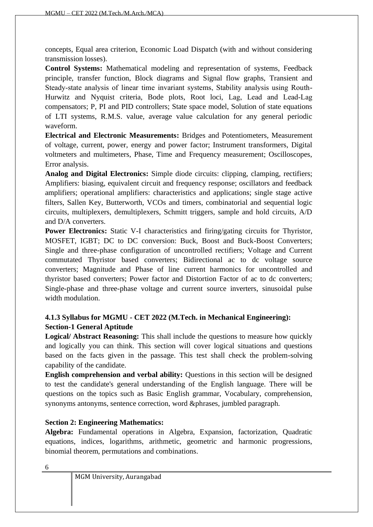concepts, Equal area criterion, Economic Load Dispatch (with and without considering transmission losses).

**Control Systems:** Mathematical modeling and representation of systems, Feedback principle, transfer function, Block diagrams and Signal flow graphs, Transient and Steady-state analysis of linear time invariant systems, Stability analysis using Routh-Hurwitz and Nyquist criteria, Bode plots, Root loci, Lag, Lead and Lead‐Lag compensators; P, PI and PID controllers; State space model, Solution of state equations of LTI systems, R.M.S. value, average value calculation for any general periodic waveform.

**Electrical and Electronic Measurements:** Bridges and Potentiometers, Measurement of voltage, current, power, energy and power factor; Instrument transformers, Digital voltmeters and multimeters, Phase, Time and Frequency measurement; Oscilloscopes, Error analysis.

**Analog and Digital Electronics:** Simple diode circuits: clipping, clamping, rectifiers; Amplifiers: biasing, equivalent circuit and frequency response; oscillators and feedback amplifiers; operational amplifiers: characteristics and applications; single stage active filters, Sallen Key, Butterworth, VCOs and timers, combinatorial and sequential logic circuits, multiplexers, demultiplexers, Schmitt triggers, sample and hold circuits, A/D and D/A converters.

**Power Electronics:** Static V-I characteristics and firing/gating circuits for Thyristor, MOSFET, IGBT; DC to DC conversion: Buck, Boost and Buck-Boost Converters; Single and three-phase configuration of uncontrolled rectifiers; Voltage and Current commutated Thyristor based converters; Bidirectional ac to dc voltage source converters; Magnitude and Phase of line current harmonics for uncontrolled and thyristor based converters; Power factor and Distortion Factor of ac to dc converters; Single-phase and three-phase voltage and current source inverters, sinusoidal pulse width modulation.

# **4.1.3 Syllabus for MGMU - CET 2022 (M.Tech. in Mechanical Engineering): Section-1 General Aptitude**

**Logical/ Abstract Reasoning:** This shall include the questions to measure how quickly and logically you can think. This section will cover logical situations and questions based on the facts given in the passage. This test shall check the problem-solving capability of the candidate.

**English comprehension and verbal ability:** Questions in this section will be designed to test the candidate's general understanding of the English language. There will be questions on the topics such as Basic English grammar, Vocabulary, comprehension, synonyms antonyms, sentence correction, word &phrases, jumbled paragraph.

# **Section 2: Engineering Mathematics:**

**Algebra:** Fundamental operations in Algebra, Expansion, factorization, Quadratic equations, indices, logarithms, arithmetic, geometric and harmonic progressions, binomial theorem, permutations and combinations.

| MGM University, Aurangabad |  |
|----------------------------|--|
|----------------------------|--|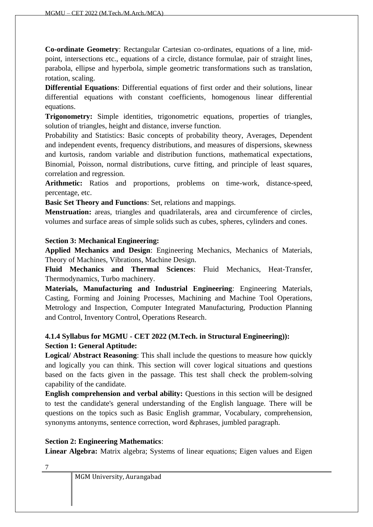**Co-ordinate Geometry**: Rectangular Cartesian co-ordinates, equations of a line, midpoint, intersections etc., equations of a circle, distance formulae, pair of straight lines, parabola, ellipse and hyperbola, simple geometric transformations such as translation, rotation, scaling.

**Differential Equations**: Differential equations of first order and their solutions, linear differential equations with constant coefficients, homogenous linear differential equations.

**Trigonometry:** Simple identities, trigonometric equations, properties of triangles, solution of triangles, height and distance, inverse function.

Probability and Statistics: Basic concepts of probability theory, Averages, Dependent and independent events, frequency distributions, and measures of dispersions, skewness and kurtosis, random variable and distribution functions, mathematical expectations, Binomial, Poisson, normal distributions, curve fitting, and principle of least squares, correlation and regression.

**Arithmetic:** Ratios and proportions, problems on time-work, distance-speed, percentage, etc.

**Basic Set Theory and Functions**: Set, relations and mappings.

**Menstruation:** areas, triangles and quadrilaterals, area and circumference of circles, volumes and surface areas of simple solids such as cubes, spheres, cylinders and cones.

#### **Section 3: Mechanical Engineering:**

**Applied Mechanics and Design**: Engineering Mechanics, Mechanics of Materials, Theory of Machines, Vibrations, Machine Design.

**Fluid Mechanics and Thermal Sciences**: Fluid Mechanics, Heat-Transfer, Thermodynamics, Turbo machinery.

**Materials, Manufacturing and Industrial Engineering**: Engineering Materials, Casting, Forming and Joining Processes, Machining and Machine Tool Operations, Metrology and Inspection, Computer Integrated Manufacturing, Production Planning and Control, Inventory Control, Operations Research.

# **4.1.4 Syllabus for MGMU - CET 2022 (M.Tech. in Structural Engineering)): Section 1: General Aptitude:**

**Logical/ Abstract Reasoning**: This shall include the questions to measure how quickly and logically you can think. This section will cover logical situations and questions based on the facts given in the passage. This test shall check the problem-solving capability of the candidate.

**English comprehension and verbal ability:** Questions in this section will be designed to test the candidate's general understanding of the English language. There will be questions on the topics such as Basic English grammar, Vocabulary, comprehension, synonyms antonyms, sentence correction, word &phrases, jumbled paragraph.

### **Section 2: Engineering Mathematics**:

**Linear Algebra:** Matrix algebra; Systems of linear equations; Eigen values and Eigen

| I<br>i |  |
|--------|--|
|        |  |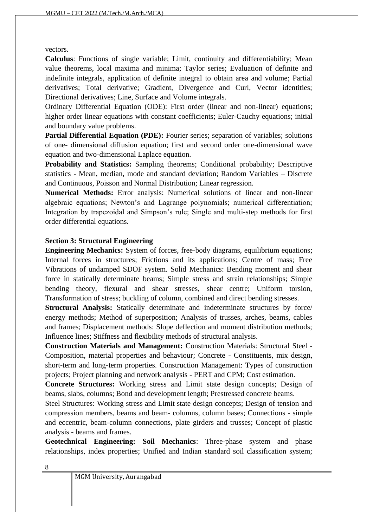vectors.

**Calculus**: Functions of single variable; Limit, continuity and differentiability; Mean value theorems, local maxima and minima; Taylor series; Evaluation of definite and indefinite integrals, application of definite integral to obtain area and volume; Partial derivatives; Total derivative; Gradient, Divergence and Curl, Vector identities; Directional derivatives; Line, Surface and Volume integrals.

Ordinary Differential Equation (ODE): First order (linear and non-linear) equations; higher order linear equations with constant coefficients; Euler-Cauchy equations; initial and boundary value problems.

**Partial Differential Equation (PDE):** Fourier series; separation of variables; solutions of one- dimensional diffusion equation; first and second order one-dimensional wave equation and two-dimensional Laplace equation.

**Probability and Statistics:** Sampling theorems; Conditional probability; Descriptive statistics - Mean, median, mode and standard deviation; Random Variables – Discrete and Continuous, Poisson and Normal Distribution; Linear regression.

**Numerical Methods:** Error analysis: Numerical solutions of linear and non-linear algebraic equations; Newton's and Lagrange polynomials; numerical differentiation; Integration by trapezoidal and Simpson's rule; Single and multi-step methods for first order differential equations.

### **Section 3: Structural Engineering**

**Engineering Mechanics:** System of forces, free-body diagrams, equilibrium equations; Internal forces in structures; Frictions and its applications; Centre of mass; Free Vibrations of undamped SDOF system. Solid Mechanics: Bending moment and shear force in statically determinate beams; Simple stress and strain relationships; Simple bending theory, flexural and shear stresses, shear centre; Uniform torsion, Transformation of stress; buckling of column, combined and direct bending stresses.

**Structural Analysis:** Statically determinate and indeterminate structures by force/ energy methods; Method of superposition; Analysis of trusses, arches, beams, cables and frames; Displacement methods: Slope deflection and moment distribution methods; Influence lines; Stiffness and flexibility methods of structural analysis.

**Construction Materials and Management:** Construction Materials: Structural Steel - Composition, material properties and behaviour; Concrete - Constituents, mix design, short-term and long-term properties. Construction Management: Types of construction projects; Project planning and network analysis - PERT and CPM; Cost estimation.

**Concrete Structures:** Working stress and Limit state design concepts; Design of beams, slabs, columns; Bond and development length; Prestressed concrete beams.

Steel Structures: Working stress and Limit state design concepts; Design of tension and compression members, beams and beam- columns, column bases; Connections - simple and eccentric, beam-column connections, plate girders and trusses; Concept of plastic analysis - beams and frames.

**Geotechnical Engineering: Soil Mechanics**: Three-phase system and phase relationships, index properties; Unified and Indian standard soil classification system;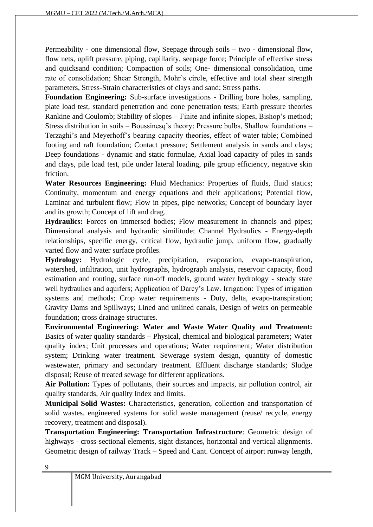Permeability - one dimensional flow, Seepage through soils – two - dimensional flow, flow nets, uplift pressure, piping, capillarity, seepage force; Principle of effective stress and quicksand condition; Compaction of soils; One- dimensional consolidation, time rate of consolidation; Shear Strength, Mohr's circle, effective and total shear strength parameters, Stress-Strain characteristics of clays and sand; Stress paths.

**Foundation Engineering:** Sub-surface investigations - Drilling bore holes, sampling, plate load test, standard penetration and cone penetration tests; Earth pressure theories Rankine and Coulomb; Stability of slopes – Finite and infinite slopes, Bishop's method; Stress distribution in soils – Boussinesq's theory; Pressure bulbs, Shallow foundations – Terzaghi's and Meyerhoff's bearing capacity theories, effect of water table; Combined footing and raft foundation; Contact pressure; Settlement analysis in sands and clays; Deep foundations - dynamic and static formulae, Axial load capacity of piles in sands and clays, pile load test, pile under lateral loading, pile group efficiency, negative skin friction.

**Water Resources Engineering:** Fluid Mechanics: Properties of fluids, fluid statics; Continuity, momentum and energy equations and their applications; Potential flow, Laminar and turbulent flow; Flow in pipes, pipe networks; Concept of boundary layer and its growth; Concept of lift and drag.

**Hydraulics:** Forces on immersed bodies; Flow measurement in channels and pipes; Dimensional analysis and hydraulic similitude; Channel Hydraulics - Energy-depth relationships, specific energy, critical flow, hydraulic jump, uniform flow, gradually varied flow and water surface profiles.

**Hydrology:** Hydrologic cycle, precipitation, evaporation, evapo-transpiration, watershed, infiltration, unit hydrographs, hydrograph analysis, reservoir capacity, flood estimation and routing, surface run-off models, ground water hydrology - steady state well hydraulics and aquifers; Application of Darcy's Law. Irrigation: Types of irrigation systems and methods; Crop water requirements - Duty, delta, evapo-transpiration; Gravity Dams and Spillways; Lined and unlined canals, Design of weirs on permeable foundation; cross drainage structures.

**Environmental Engineering: Water and Waste Water Quality and Treatment:** Basics of water quality standards – Physical, chemical and biological parameters; Water quality index; Unit processes and operations; Water requirement; Water distribution system; Drinking water treatment. Sewerage system design, quantity of domestic wastewater, primary and secondary treatment. Effluent discharge standards; Sludge disposal; Reuse of treated sewage for different applications.

**Air Pollution:** Types of pollutants, their sources and impacts, air pollution control, air quality standards, Air quality Index and limits.

**Municipal Solid Wastes:** Characteristics, generation, collection and transportation of solid wastes, engineered systems for solid waste management (reuse/ recycle, energy recovery, treatment and disposal).

**Transportation Engineering: Transportation Infrastructure**: Geometric design of highways - cross-sectional elements, sight distances, horizontal and vertical alignments. Geometric design of railway Track – Speed and Cant. Concept of airport runway length,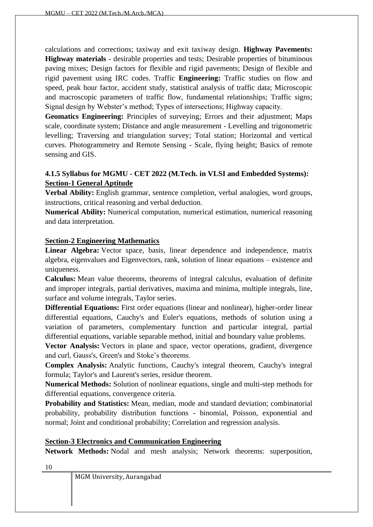calculations and corrections; taxiway and exit taxiway design. **Highway Pavements: Highway materials** - desirable properties and tests; Desirable properties of bituminous paving mixes; Design factors for flexible and rigid pavements; Design of flexible and rigid pavement using IRC codes. Traffic **Engineering:** Traffic studies on flow and speed, peak hour factor, accident study, statistical analysis of traffic data; Microscopic and macroscopic parameters of traffic flow, fundamental relationships; Traffic signs; Signal design by Webster's method; Types of intersections; Highway capacity.

**Geomatics Engineering:** Principles of surveying; Errors and their adjustment; Maps scale, coordinate system; Distance and angle measurement - Levelling and trigonometric levelling; Traversing and triangulation survey; Total station; Horizontal and vertical curves. Photogrammetry and Remote Sensing - Scale, flying height; Basics of remote sensing and GIS.

# **4.1.5 Syllabus for MGMU - CET 2022 (M.Tech. in VLSI and Embedded Systems): Section-1 General Aptitude**

**Verbal Ability:** English grammar, sentence completion, verbal analogies, word groups, instructions, critical reasoning and verbal deduction.

**Numerical Ability:** Numerical computation, numerical estimation, numerical reasoning and data interpretation.

### **Section-2 Engineering Mathematics**

**Linear Algebra:** Vector space, basis, linear dependence and independence, matrix algebra, eigenvalues and Eigenvectors, rank, solution of linear equations – existence and uniqueness.

**Calculus:** Mean value theorems, theorems of integral calculus, evaluation of definite and improper integrals, partial derivatives, maxima and minima, multiple integrals, line, surface and volume integrals, Taylor series.

**Differential Equations:** First order equations (linear and nonlinear), higher-order linear differential equations, Cauchy's and Euler's equations, methods of solution using a variation of parameters, complementary function and particular integral, partial differential equations, variable separable method, initial and boundary value problems.

**Vector Analysis:** Vectors in plane and space, vector operations, gradient, divergence and curl, Gauss's, Green's and Stoke's theorems.

**Complex Analysis:** Analytic functions, Cauchy's integral theorem, Cauchy's integral formula; Taylor's and Laurent's series, residue theorem.

**Numerical Methods:** Solution of nonlinear equations, single and multi-step methods for differential equations, convergence criteria.

**Probability and Statistics:** Mean, median, mode and standard deviation; combinatorial probability, probability distribution functions - binomial, Poisson, exponential and normal; Joint and conditional probability; Correlation and regression analysis.

### **Section-3 Electronics and Communication Engineering**

**Network Methods:** Nodal and mesh analysis; Network theorems: superposition,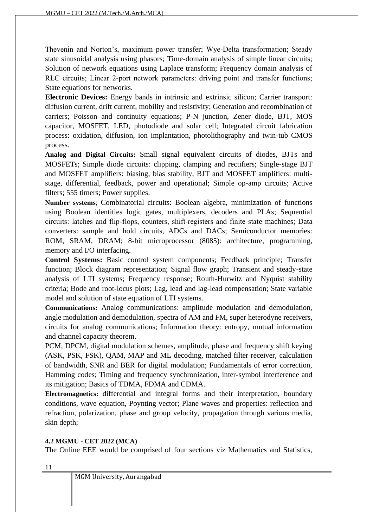Thevenin and Norton's, maximum power transfer; Wye‐Delta transformation; Steady state sinusoidal analysis using phasors; Time-domain analysis of simple linear circuits; Solution of network equations using Laplace transform; Frequency domain analysis of RLC circuits; Linear 2-port network parameters: driving point and transfer functions; State equations for networks.

**Electronic Devices:** Energy bands in intrinsic and extrinsic silicon; Carrier transport: diffusion current, drift current, mobility and resistivity; Generation and recombination of carriers; Poisson and continuity equations; P-N junction, Zener diode, BJT, MOS capacitor, MOSFET, LED, photodiode and solar cell; Integrated circuit fabrication process: oxidation, diffusion, ion implantation, photolithography and twin-tub CMOS process.

**Analog and Digital Circuits:** Small signal equivalent circuits of diodes, BJTs and MOSFETs; Simple diode circuits: clipping, clamping and rectifiers; Single-stage BJT and MOSFET amplifiers: biasing, bias stability, BJT and MOSFET amplifiers: multistage, differential, feedback, power and operational; Simple op-amp circuits; Active filters; 555 timers; Power supplies.

**Number systems**; Combinatorial circuits: Boolean algebra, minimization of functions using Boolean identities logic gates, multiplexers, decoders and PLAs; Sequential circuits: latches and flip‐flops, counters, shift‐registers and finite state machines; Data converters: sample and hold circuits, ADCs and DACs; Semiconductor memories: ROM, SRAM, DRAM; 8-bit microprocessor (8085): architecture, programming, memory and I/O interfacing.

**Control Systems:** Basic control system components; Feedback principle; Transfer function; Block diagram representation; Signal flow graph; Transient and steady-state analysis of LTI systems; Frequency response; Routh-Hurwitz and Nyquist stability criteria; Bode and root-locus plots; Lag, lead and lag-lead compensation; State variable model and solution of state equation of LTI systems.

**Communications:** Analog communications: amplitude modulation and demodulation, angle modulation and demodulation, spectra of AM and FM, super heterodyne receivers, circuits for analog communications; Information theory: entropy, mutual information and channel capacity theorem.

PCM, DPCM, digital modulation schemes, amplitude, phase and frequency shift keying (ASK, PSK, FSK), QAM, MAP and ML decoding, matched filter receiver, calculation of bandwidth, SNR and BER for digital modulation; Fundamentals of error correction, Hamming codes; Timing and frequency synchronization, inter-symbol interference and its mitigation; Basics of TDMA, FDMA and CDMA.

**Electromagnetics:** differential and integral forms and their interpretation, boundary conditions, wave equation, Poynting vector; Plane waves and properties: reflection and refraction, polarization, phase and group velocity, propagation through various media, skin depth;

#### <span id="page-13-0"></span>**4.2 MGMU - CET 2022 (MCA)**

The Online EEE would be comprised of four sections viz Mathematics and Statistics,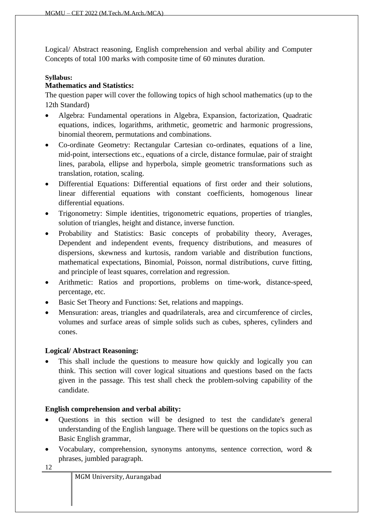Logical/ Abstract reasoning, English comprehension and verbal ability and Computer Concepts of total 100 marks with composite time of 60 minutes duration.

#### **Syllabus:**

#### **Mathematics and Statistics:**

The question paper will cover the following topics of high school mathematics (up to the 12th Standard)

- Algebra: Fundamental operations in Algebra, Expansion, factorization, Quadratic equations, indices, logarithms, arithmetic, geometric and harmonic progressions, binomial theorem, permutations and combinations.
- Co-ordinate Geometry: Rectangular Cartesian co-ordinates, equations of a line, mid-point, intersections etc., equations of a circle, distance formulae, pair of straight lines, parabola, ellipse and hyperbola, simple geometric transformations such as translation, rotation, scaling.
- Differential Equations: Differential equations of first order and their solutions, linear differential equations with constant coefficients, homogenous linear differential equations.
- Trigonometry: Simple identities, trigonometric equations, properties of triangles, solution of triangles, height and distance, inverse function.
- Probability and Statistics: Basic concepts of probability theory, Averages, Dependent and independent events, frequency distributions, and measures of dispersions, skewness and kurtosis, random variable and distribution functions, mathematical expectations, Binomial, Poisson, normal distributions, curve fitting, and principle of least squares, correlation and regression.
- Arithmetic: Ratios and proportions, problems on time-work, distance-speed, percentage, etc.
- Basic Set Theory and Functions: Set, relations and mappings.
- Mensuration: areas, triangles and quadrilaterals, area and circumference of circles, volumes and surface areas of simple solids such as cubes, spheres, cylinders and cones.

#### **Logical/ Abstract Reasoning:**

This shall include the questions to measure how quickly and logically you can think. This section will cover logical situations and questions based on the facts given in the passage. This test shall check the problem-solving capability of the candidate.

### **English comprehension and verbal ability:**

- Questions in this section will be designed to test the candidate's general understanding of the English language. There will be questions on the topics such as Basic English grammar,
- Vocabulary, comprehension, synonyms antonyms, sentence correction, word  $\&$ phrases, jumbled paragraph.

|  |  | MGM University, Aurangabad |
|--|--|----------------------------|
|--|--|----------------------------|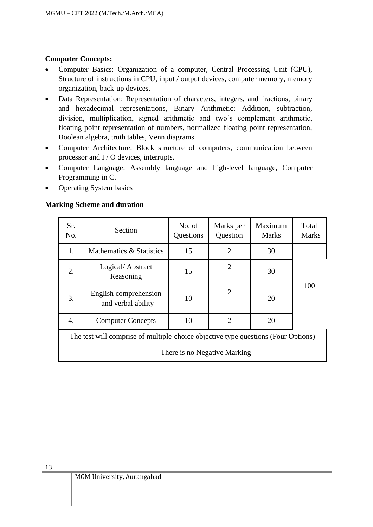#### **Computer Concepts:**

- Computer Basics: Organization of a computer, Central Processing Unit (CPU), Structure of instructions in CPU, input / output devices, computer memory, memory organization, back-up devices.
- Data Representation: Representation of characters, integers, and fractions, binary and hexadecimal representations, Binary Arithmetic: Addition, subtraction, division, multiplication, signed arithmetic and two's complement arithmetic, floating point representation of numbers, normalized floating point representation, Boolean algebra, truth tables, Venn diagrams.
- Computer Architecture: Block structure of computers, communication between processor and I / O devices, interrupts.
- Computer Language: Assembly language and high-level language, Computer Programming in C.
- Operating System basics

#### **Marking Scheme and duration**

| Sr.<br>No. | Section                                                                           | No. of<br>Questions | Marks per<br>Question        | Maximum<br><b>Marks</b> | Total<br><b>Marks</b> |
|------------|-----------------------------------------------------------------------------------|---------------------|------------------------------|-------------------------|-----------------------|
| 1.         | Mathematics & Statistics                                                          | 15                  | 2                            | 30                      |                       |
| 2.         | Logical/Abstract<br>Reasoning                                                     | 15                  | $\overline{2}$               | 30                      |                       |
| 3.         | English comprehension<br>and verbal ability                                       | 10                  | $\overline{2}$               | 20                      | 100                   |
| 4.         | <b>Computer Concepts</b>                                                          | 10                  | $\overline{2}$               | 20                      |                       |
|            | The test will comprise of multiple-choice objective type questions (Four Options) |                     |                              |                         |                       |
|            |                                                                                   |                     | There is no Negative Marking |                         |                       |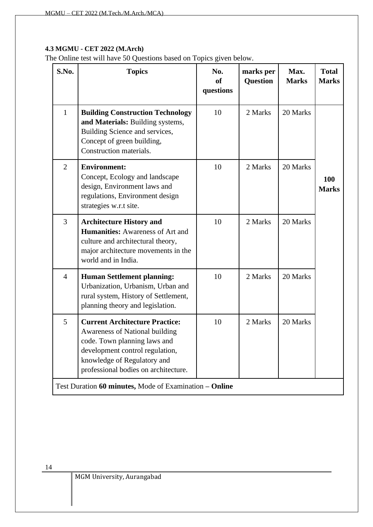#### <span id="page-16-0"></span>**4.3 MGMU - CET 2022 (M.Arch)**

The Online test will have 50 Questions based on Topics given below.

| S.No.          | <b>Topics</b>                                                                                                                                                                                                     | No.<br>of<br>questions | marks per<br><b>Question</b> | Max.<br><b>Marks</b> | <b>Total</b><br><b>Marks</b> |
|----------------|-------------------------------------------------------------------------------------------------------------------------------------------------------------------------------------------------------------------|------------------------|------------------------------|----------------------|------------------------------|
| 1              | <b>Building Construction Technology</b><br>and Materials: Building systems,<br>Building Science and services,<br>Concept of green building,<br>Construction materials.                                            | 10                     | 2 Marks                      | 20 Marks             |                              |
| $\overline{2}$ | <b>Environment:</b><br>Concept, Ecology and landscape<br>design, Environment laws and<br>regulations, Environment design<br>strategies w.r.t site.                                                                | 10                     | 2 Marks                      | 20 Marks             | 100<br><b>Marks</b>          |
| $\overline{3}$ | <b>Architecture History and</b><br><b>Humanities:</b> Awareness of Art and<br>culture and architectural theory,<br>major architecture movements in the<br>world and in India.                                     | 10                     | 2 Marks                      | 20 Marks             |                              |
| $\overline{4}$ | <b>Human Settlement planning:</b><br>Urbanization, Urbanism, Urban and<br>rural system, History of Settlement,<br>planning theory and legislation.                                                                | 10                     | 2 Marks                      | 20 Marks             |                              |
| 5              | <b>Current Architecture Practice:</b><br>Awareness of National building<br>code. Town planning laws and<br>development control regulation,<br>knowledge of Regulatory and<br>professional bodies on architecture. | 10                     | 2 Marks                      | 20 Marks             |                              |
|                | Test Duration 60 minutes, Mode of Examination – Online                                                                                                                                                            |                        |                              |                      |                              |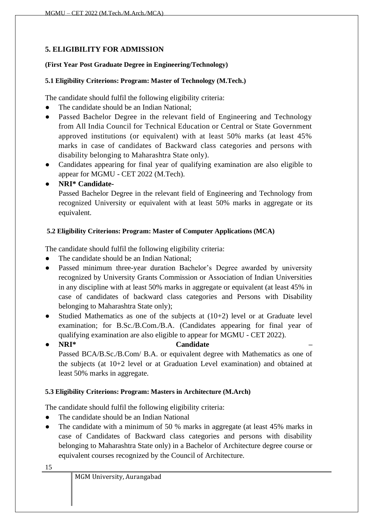# <span id="page-17-0"></span>**5. ELIGIBILITY FOR ADMISSION**

#### **(First Year Post Graduate Degree in Engineering/Technology)**

#### <span id="page-17-1"></span>**5.1 Eligibility Criterions: Program: Master of Technology (M.Tech.)**

The candidate should fulfil the following eligibility criteria:

- The candidate should be an Indian National;
- Passed Bachelor Degree in the relevant field of Engineering and Technology from All India Council for Technical Education or Central or State Government approved institutions (or equivalent) with at least 50% marks (at least 45% marks in case of candidates of Backward class categories and persons with disability belonging to Maharashtra State only).
- Candidates appearing for final year of qualifying examination are also eligible to appear for MGMU - CET 2022 (M.Tech).
- **NRI\* Candidate-**

Passed Bachelor Degree in the relevant field of Engineering and Technology from recognized University or equivalent with at least 50% marks in aggregate or its equivalent.

### <span id="page-17-2"></span>**5.2 Eligibility Criterions: Program: Master of Computer Applications (MCA)**

The candidate should fulfil the following eligibility criteria:

- The candidate should be an Indian National;
- Passed minimum three-year duration Bachelor's Degree awarded by university recognized by University Grants Commission or Association of Indian Universities in any discipline with at least 50% marks in aggregate or equivalent (at least 45% in case of candidates of backward class categories and Persons with Disability belonging to Maharashtra State only);
- Studied Mathematics as one of the subjects at  $(10+2)$  level or at Graduate level examination; for B.Sc./B.Com./B.A. (Candidates appearing for final year of qualifying examination are also eligible to appear for MGMU - CET 2022).
- **NRI\* Candidate –** Passed BCA/B.Sc./B.Com/ B.A. or equivalent degree with Mathematics as one of the subjects (at 10+2 level or at Graduation Level examination) and obtained at least 50% marks in aggregate.

### <span id="page-17-3"></span>**5.3 Eligibility Criterions: Program: Masters in Architecture (M.Arch)**

The candidate should fulfil the following eligibility criteria:

- The candidate should be an Indian National
- The candidate with a minimum of 50 % marks in aggregate (at least 45% marks in case of Candidates of Backward class categories and persons with disability belonging to Maharashtra State only) in a Bachelor of Architecture degree course or equivalent courses recognized by the Council of Architecture.

|--|

MGM University, Aurangabad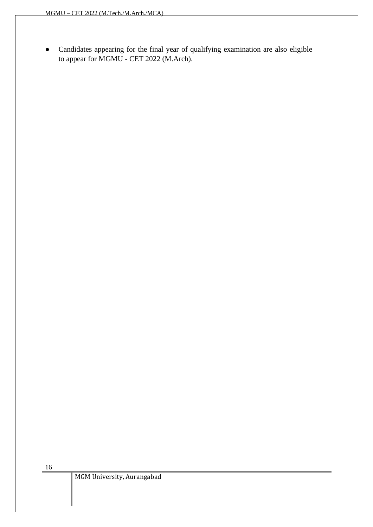● Candidates appearing for the final year of qualifying examination are also eligible to appear for MGMU - CET 2022 (M.Arch).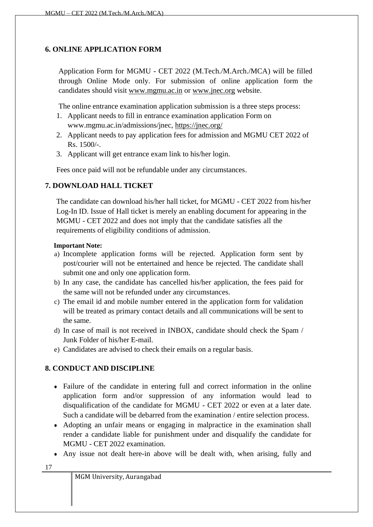### <span id="page-19-0"></span>**6. ONLINE APPLICATION FORM**

Application Form for MGMU - CET 2022 (M.Tech./M.Arch./MCA) will be filled through Online Mode only. For submission of online application form the candidates should visit [www.mgmu.ac.in](http://www.mgmu.ac.in/) or [www.jnec.org](http://www.jnec.org/) website.

The online entrance examination application submission is a three steps process:

- 1. Applicant needs to fill in entrance examination application Form on www.mgmu.ac.in/admissions/jnec,<https://jnec.org/>
- 2. Applicant needs to pay application fees for admission and MGMU CET 2022 of Rs. 1500/-.
- 3. Applicant will get entrance exam link to his/her login.

Fees once paid will not be refundable under any circumstances.

### <span id="page-19-1"></span>**7. DOWNLOAD HALL TICKET**

The candidate can download his/her hall ticket, for MGMU - CET 2022 from his/her Log-In ID. Issue of Hall ticket is merely an enabling document for appearing in the MGMU - CET 2022 and does not imply that the candidate satisfies all the requirements of eligibility conditions of admission.

#### **Important Note:**

- a) Incomplete application forms will be rejected. Application form sent by post/courier will not be entertained and hence be rejected. The candidate shall submit one and only one application form.
- b) In any case, the candidate has cancelled his/her application, the fees paid for the same will not be refunded under any circumstances.
- c) The email id and mobile number entered in the application form for validation will be treated as primary contact details and all communications will be sent to the same.
- d) In case of mail is not received in INBOX, candidate should check the Spam / Junk Folder of his/her E-mail.
- e) Candidates are advised to check their emails on a regular basis.

### <span id="page-19-2"></span>**8. CONDUCT AND DISCIPLINE**

- Failure of the candidate in entering full and correct information in the online application form and/or suppression of any information would lead to disqualification of the candidate for MGMU - CET 2022 or even at a later date. Such a candidate will be debarred from the examination / entire selection process.
- Adopting an unfair means or engaging in malpractice in the examination shall render a candidate liable for punishment under and disqualify the candidate for MGMU - CET 2022 examination.
- Any issue not dealt here-in above will be dealt with, when arising, fully and

| ×<br>н |
|--------|
|--------|